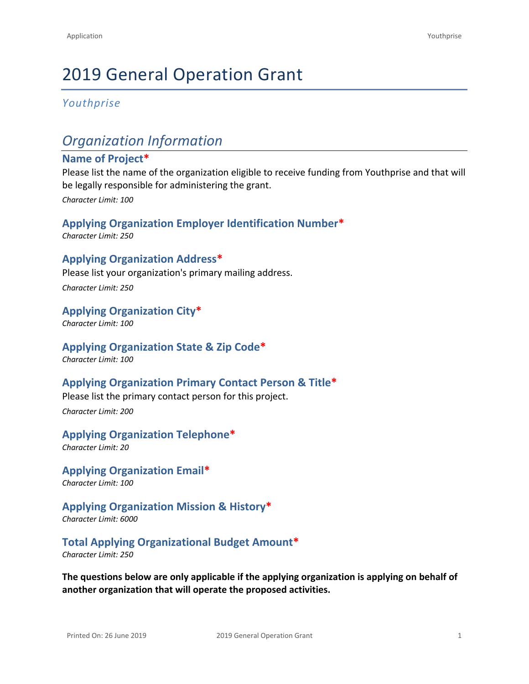# 2019 General Operation Grant

## *Youthprise*

## *Organization Information*

### **Name of Project\***

Please list the name of the organization eligible to receive funding from Youthprise and that will be legally responsible for administering the grant.

*Character Limit: 100*

## **Applying Organization Employer Identification Number\***

*Character Limit: 250*

## **Applying Organization Address\***

Please list your organization's primary mailing address.

*Character Limit: 250*

### **Applying Organization City\***

*Character Limit: 100*

## **Applying Organization State & Zip Code\***

*Character Limit: 100*

## **Applying Organization Primary Contact Person & Title\***

Please list the primary contact person for this project.

*Character Limit: 200*

## **Applying Organization Telephone\***

*Character Limit: 20*

## **Applying Organization Email\***

*Character Limit: 100*

## **Applying Organization Mission & History\***

*Character Limit: 6000*

## **Total Applying Organizational Budget Amount\***

*Character Limit: 250*

**The questions below are only applicable if the applying organization is applying on behalf of another organization that will operate the proposed activities.**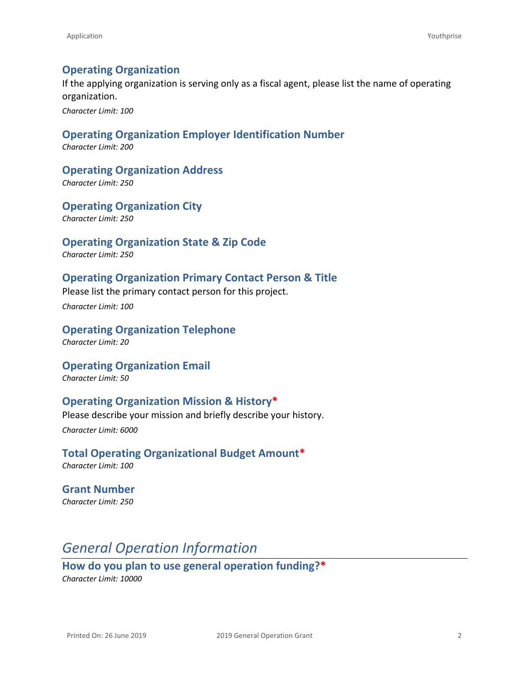## **Operating Organization**

If the applying organization is serving only as a fiscal agent, please list the name of operating organization.

*Character Limit: 100*

## **Operating Organization Employer Identification Number**

*Character Limit: 200*

**Operating Organization Address**

*Character Limit: 250*

**Operating Organization City** *Character Limit: 250*

### **Operating Organization State & Zip Code**

*Character Limit: 250*

## **Operating Organization Primary Contact Person & Title**

Please list the primary contact person for this project.

*Character Limit: 100*

#### **Operating Organization Telephone** *Character Limit: 20*

**Operating Organization Email** *Character Limit: 50*

## **Operating Organization Mission & History\***

Please describe your mission and briefly describe your history. *Character Limit: 6000*

**Total Operating Organizational Budget Amount\*** *Character Limit: 100*

**Grant Number** *Character Limit: 250*

## *General Operation Information*

**How do you plan to use general operation funding?\*** *Character Limit: 10000*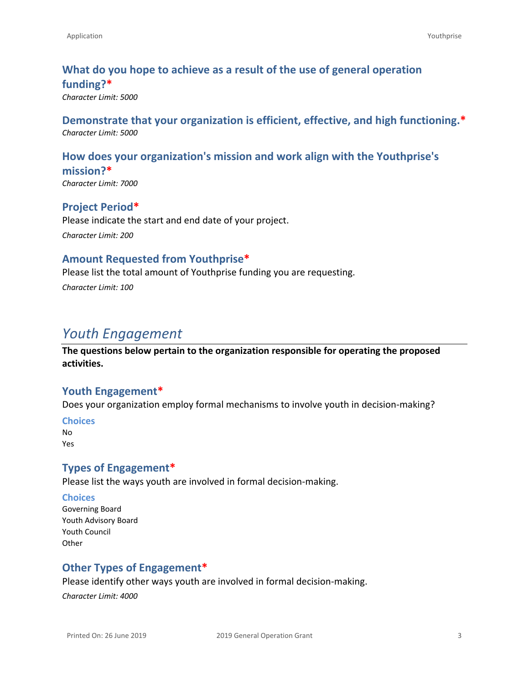## **What do you hope to achieve as a result of the use of general operation funding?\***

*Character Limit: 5000*

## **Demonstrate that your organization is efficient, effective, and high functioning.\*** *Character Limit: 5000*

## **How does your organization's mission and work align with the Youthprise's mission?\***

*Character Limit: 7000*

## **Project Period\***

Please indicate the start and end date of your project. *Character Limit: 200*

## **Amount Requested from Youthprise\***

Please list the total amount of Youthprise funding you are requesting. *Character Limit: 100*

## *Youth Engagement*

**The questions below pertain to the organization responsible for operating the proposed activities.** 

## **Youth Engagement\***

Does your organization employ formal mechanisms to involve youth in decision-making?

#### **Choices**

No Yes

## **Types of Engagement\***

Please list the ways youth are involved in formal decision-making.

#### **Choices**

Governing Board Youth Advisory Board Youth Council **Other** 

## **Other Types of Engagement\***

Please identify other ways youth are involved in formal decision-making.

*Character Limit: 4000*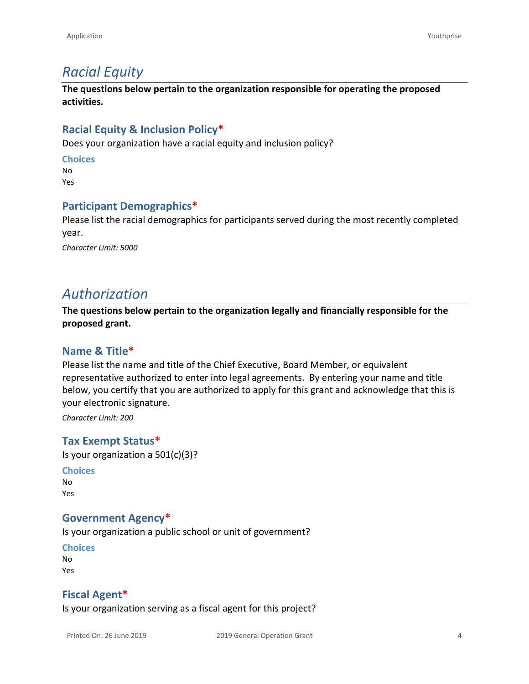## *Racial Equity*

**The questions below pertain to the organization responsible for operating the proposed activities.** 

## **Racial Equity & Inclusion Policy\***

Does your organization have a racial equity and inclusion policy?

#### **Choices**

No Yes

### **Participant Demographics\***

Please list the racial demographics for participants served during the most recently completed year.

*Character Limit: 5000*

## *Authorization*

**The questions below pertain to the organization legally and financially responsible for the proposed grant.**

## **Name & Title\***

Please list the name and title of the Chief Executive, Board Member, or equivalent representative authorized to enter into legal agreements. By entering your name and title below, you certify that you are authorized to apply for this grant and acknowledge that this is your electronic signature.

*Character Limit: 200*

## **Tax Exempt Status\***

Is your organization a 501(c)(3)?

**Choices** No Yes

#### **Government Agency\***

Is your organization a public school or unit of government?

**Choices** No

Yes

## **Fiscal Agent\***

Is your organization serving as a fiscal agent for this project?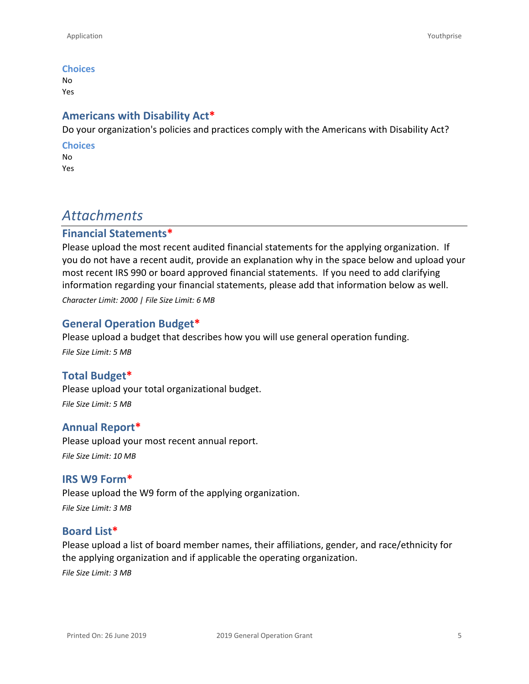#### **Choices**

No Yes

## **Americans with Disability Act\***

Do your organization's policies and practices comply with the Americans with Disability Act?

#### **Choices**

No Yes

## *Attachments*

## **Financial Statements\***

Please upload the most recent audited financial statements for the applying organization. If you do not have a recent audit, provide an explanation why in the space below and upload your most recent IRS 990 or board approved financial statements. If you need to add clarifying information regarding your financial statements, please add that information below as well. *Character Limit: 2000 | File Size Limit: 6 MB*

## **General Operation Budget\***

Please upload a budget that describes how you will use general operation funding. *File Size Limit: 5 MB*

## **Total Budget\***

Please upload your total organizational budget. *File Size Limit: 5 MB*

## **Annual Report\***

Please upload your most recent annual report. *File Size Limit: 10 MB*

#### **IRS W9 Form\***

Please upload the W9 form of the applying organization. *File Size Limit: 3 MB*

## **Board List\***

Please upload a list of board member names, their affiliations, gender, and race/ethnicity for the applying organization and if applicable the operating organization. *File Size Limit: 3 MB*